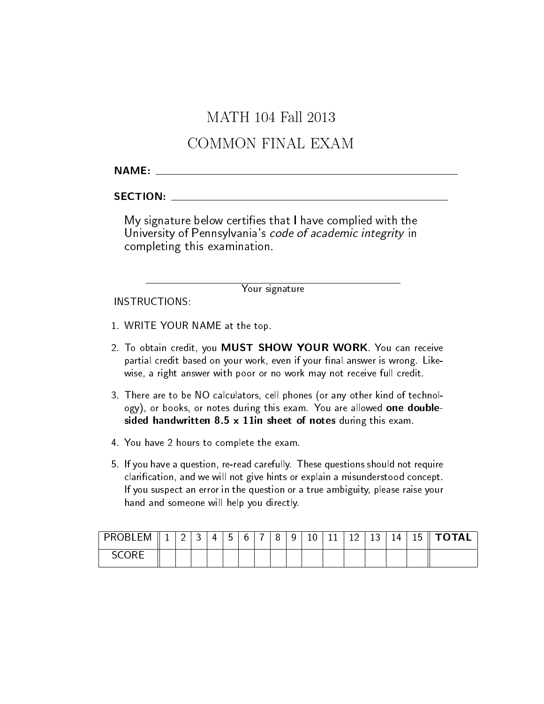# MATH 104 Fall 2013

# COMMON FINAL EXAM

### NAME:

### SECTION:

My signature below certies that I have complied with the University of Pennsylvania's code of academic integrity in completing this examination.

Your signature

INSTRUCTIONS:

- 1. WRITE YOUR NAME at the top.
- 2. To obtain credit, you MUST SHOW YOUR WORK. You can receive partial credit based on your work, even if your final answer is wrong. Likewise, a right answer with poor or no work may not receive full credit.
- 3. There are to be NO calculators, cell phones (or any other kind of technology), or books, or notes during this exam. You are allowed one doublesided handwritten 8.5 x 11in sheet of notes during this exam.
- 4. You have 2 hours to complete the exam.
- 5. If you have a question, re-read carefully. These questions should not require clarication, and we will not give hints or explain a misunderstood concept. If you suspect an error in the question or a true ambiguity, please raise your hand and someone will help you directly.

| .EM<br><b>PRORL</b> | -- | <u>_</u> | 4 | -<br>h<br>ັ | n | - | <u>u</u><br>◡ | 10 | TT. | $\sim$<br>-- | $\sim$<br>∸ | 14 | 1 F<br>15. |  |
|---------------------|----|----------|---|-------------|---|---|---------------|----|-----|--------------|-------------|----|------------|--|
| CORF                |    |          |   |             |   |   |               |    |     |              |             |    |            |  |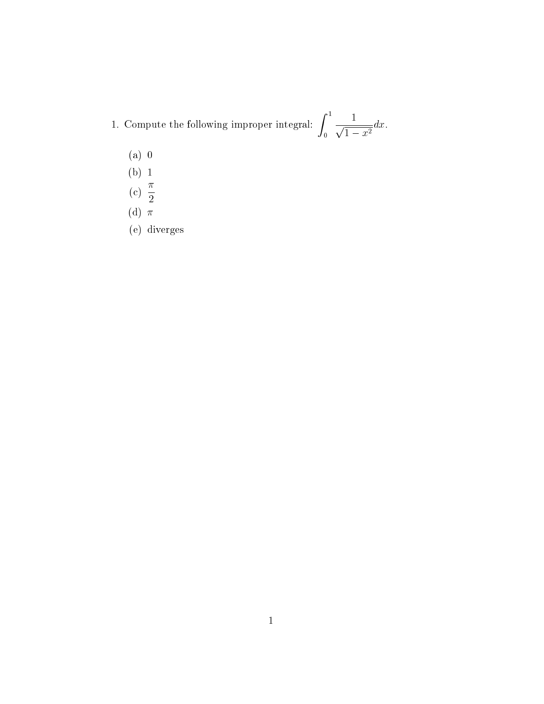- 1. Compute the following improper integral:  $\int_1^1$  $\overline{0}$  $\frac{1}{\sqrt{1}}$  $\frac{1}{1-x^2}dx.$ 
	- (a) 0
	- (b) 1
	- (c)  $\frac{\pi}{2}$ 2
	- (d)  $\pi$
	- (e) diverges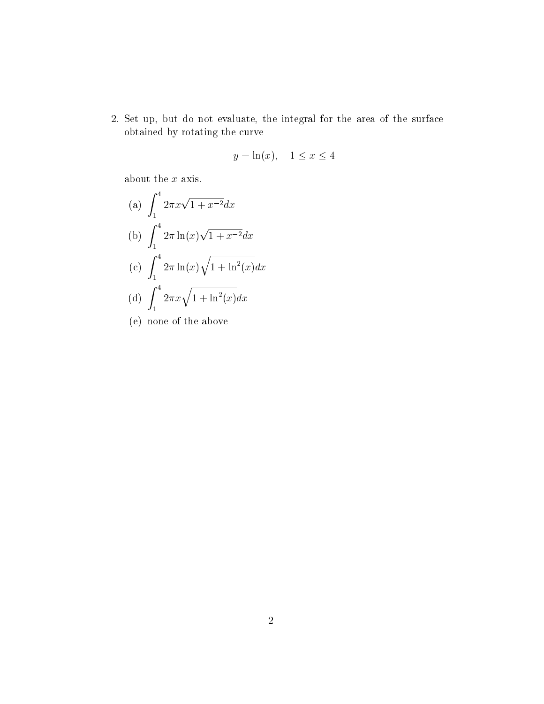2. Set up, but do not evaluate, the integral for the area of the surface obtained by rotating the curve

$$
y = \ln(x), \quad 1 \le x \le 4
$$

about the *x*-axis.

(a) 
$$
\int_{1}^{4} 2\pi x \sqrt{1 + x^{-2}} dx
$$
  
\n(b) 
$$
\int_{1}^{4} 2\pi \ln(x) \sqrt{1 + x^{-2}} dx
$$
  
\n(c) 
$$
\int_{1}^{4} 2\pi \ln(x) \sqrt{1 + \ln^{2}(x)} dx
$$
  
\n(d) 
$$
\int_{1}^{4} 2\pi x \sqrt{1 + \ln^{2}(x)} dx
$$

(e) none of the above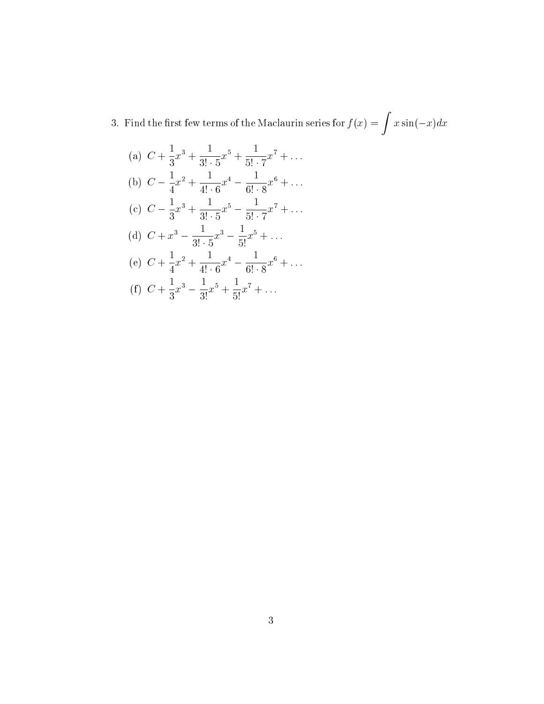3. Find the first few terms of the Maclaurin series for  $f(x) = \int x \sin(-x) dx$ 

(a) 
$$
C + \frac{1}{3}x^3 + \frac{1}{3! \cdot 5}x^5 + \frac{1}{5! \cdot 7}x^7 + \dots
$$
  
\n(b)  $C - \frac{1}{4}x^2 + \frac{1}{4! \cdot 6}x^4 - \frac{1}{6! \cdot 8}x^6 + \dots$   
\n(c)  $C - \frac{1}{3}x^3 + \frac{1}{3! \cdot 5}x^5 - \frac{1}{5! \cdot 7}x^7 + \dots$   
\n(d)  $C + x^3 - \frac{1}{3! \cdot 5}x^3 - \frac{1}{5!}x^5 + \dots$   
\n(e)  $C + \frac{1}{4}x^2 + \frac{1}{4! \cdot 6}x^4 - \frac{1}{6! \cdot 8}x^6 + \dots$   
\n(f)  $C + \frac{1}{3}x^3 - \frac{1}{3!}x^5 + \frac{1}{5!}x^7 + \dots$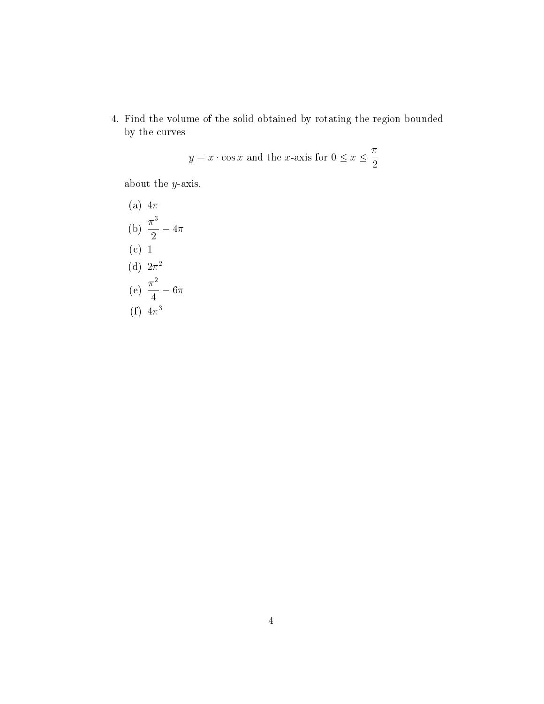4. Find the volume of the solid obtained by rotating the region bounded by the curves

$$
y = x \cdot \cos x
$$
 and the *x*-axis for  $0 \le x \le \frac{\pi}{2}$ 

about the y-axis.

- (a)  $4\pi$ (b)  $\frac{\pi^3}{8}$  $\frac{1}{2} - 4\pi$ (c) 1 (d)  $2\pi^2$ (e)  $\frac{\pi^2}{4}$  $\frac{1}{4}$  – 6 $\pi$
- (f)  $4\pi^3$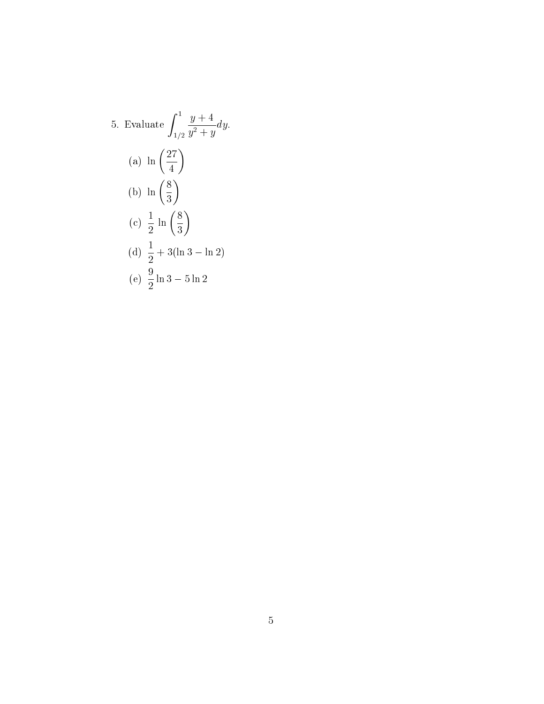5. Evaluate 
$$
\int_{1/2}^{1} \frac{y+4}{y^2+y} dy.
$$
  
\n(a)  $\ln\left(\frac{27}{4}\right)$   
\n(b)  $\ln\left(\frac{8}{3}\right)$   
\n(c)  $\frac{1}{2} \ln\left(\frac{8}{3}\right)$   
\n(d)  $\frac{1}{2} + 3(\ln 3 - \ln 2)$   
\n(e)  $\frac{9}{2} \ln 3 - 5 \ln 2$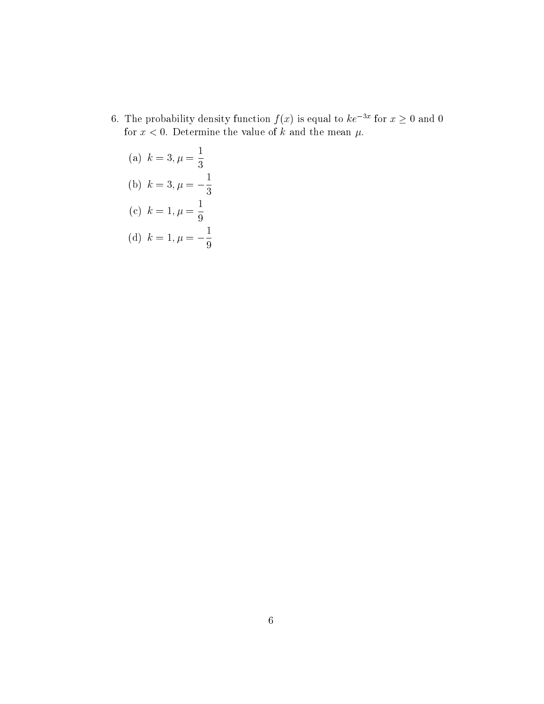- 6. The probability density function  $f(x)$  is equal to  $ke^{-3x}$  for  $x \ge 0$  and 0 for  $x < 0$ . Determine the value of k and the mean  $\mu$ .
	- (a)  $k = 3, \mu =$ 1 3 (b)  $k = 3, \mu = -$ 1 3 (c)  $k = 1, \mu =$ 1 9 1
	- (d)  $k = 1, \mu = -$ 9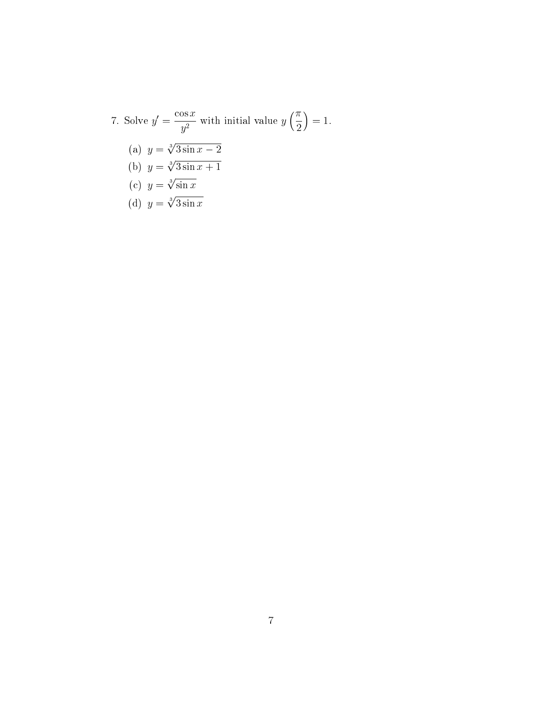7. Solve 
$$
y' = \frac{\cos x}{y^2}
$$
 with initial value  $y\left(\frac{\pi}{2}\right) = 1$ .  
\n(a)  $y = \sqrt[3]{3 \sin x - 2}$   
\n(b)  $y = \sqrt[3]{3 \sin x + 1}$   
\n(c)  $y = \sqrt[3]{\sin x}$   
\n(d)  $y = \sqrt[3]{3 \sin x}$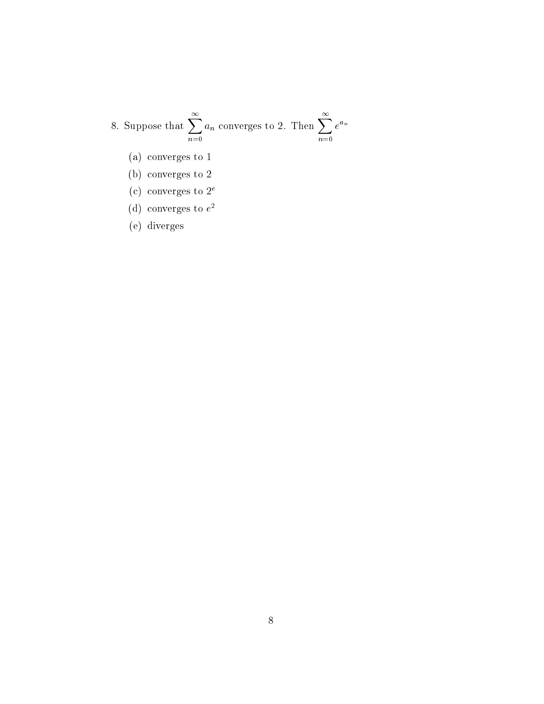#### 8. Suppose that  $\sum_{n=1}^{\infty}$  $n=0$  $a_n$  converges to 2. Then  $\sum^{\infty}_1$  $n=0$  $e^{a_n}$

- (a) converges to 1
- (b) converges to 2
- (c) converges to  $2^e$
- (d) converges to  $e^2$
- (e) diverges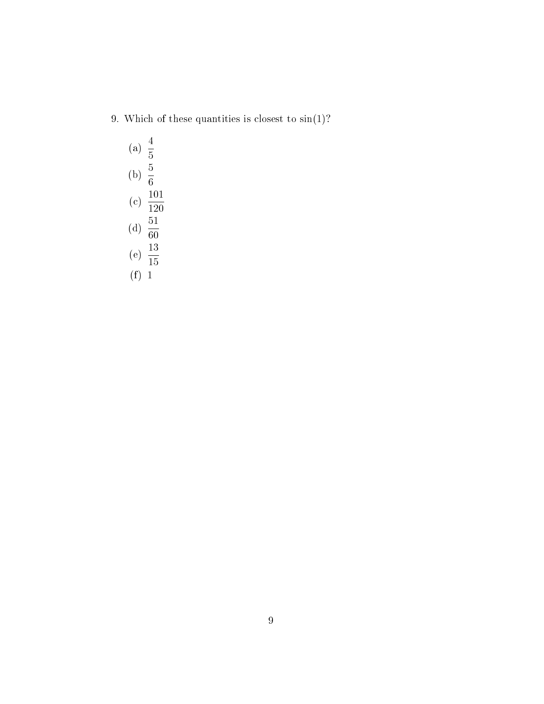9. Which of these quantities is closest to  $sin(1)$ ?

(a) 
$$
\frac{4}{5}
$$
  
\n(b)  $\frac{5}{6}$   
\n(c)  $\frac{101}{120}$   
\n(d)  $\frac{51}{60}$   
\n(e)  $\frac{13}{15}$   
\n(f) 1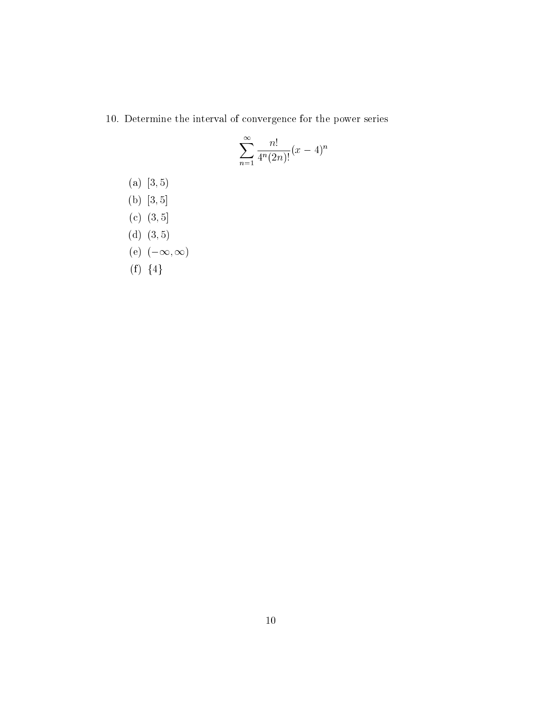10. Determine the interval of convergence for the power series

$$
\sum_{n=1}^{\infty} \frac{n!}{4^n (2n)!} (x-4)^n
$$

- $(a)$  [3, 5)
- (b)  $[3, 5]$
- (c)  $(3, 5]$
- (d)  $(3, 5)$
- (e)  $(-\infty,\infty)$
- (f)  ${4}$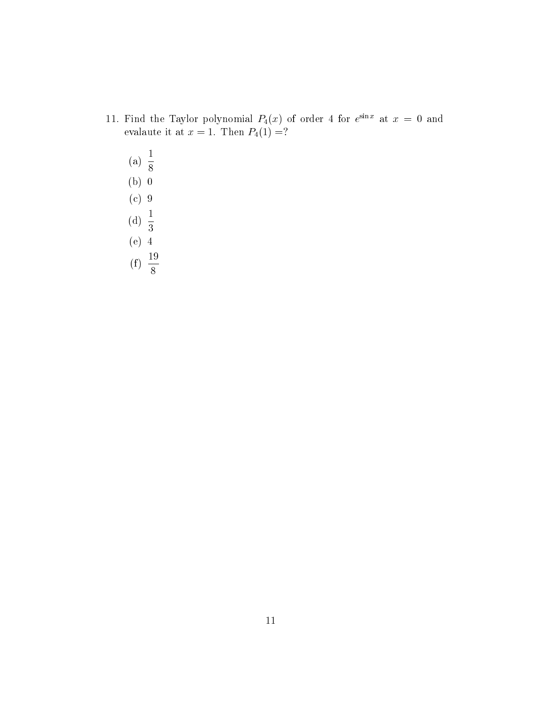- 11. Find the Taylor polynomial  $P_4(x)$  of order 4 for  $e^{\sin x}$  at  $x = 0$  and evalaute it at  $x = 1$ . Then  $P_4(1) = ?$ 
	- (a)  $\frac{1}{2}$ 8 (b) 0 (c) 9 (d)  $\frac{1}{2}$ 3 (e) 4  $(f) \frac{19}{6}$ 8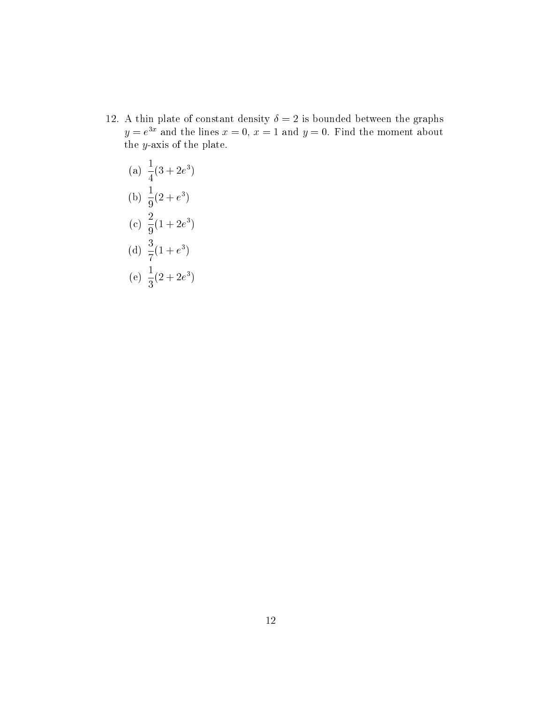12. A thin plate of constant density  $\delta = 2$  is bounded between the graphs  $y = e^{3x}$  and the lines  $x = 0$ ,  $x = 1$  and  $y = 0$ . Find the moment about the y-axis of the plate.

(a) 
$$
\frac{1}{4}(3 + 2e^3)
$$
  
\n(b)  $\frac{1}{9}(2 + e^3)$   
\n(c)  $\frac{2}{9}(1 + 2e^3)$   
\n(d)  $\frac{3}{7}(1 + e^3)$   
\n(e)  $\frac{1}{3}(2 + 2e^3)$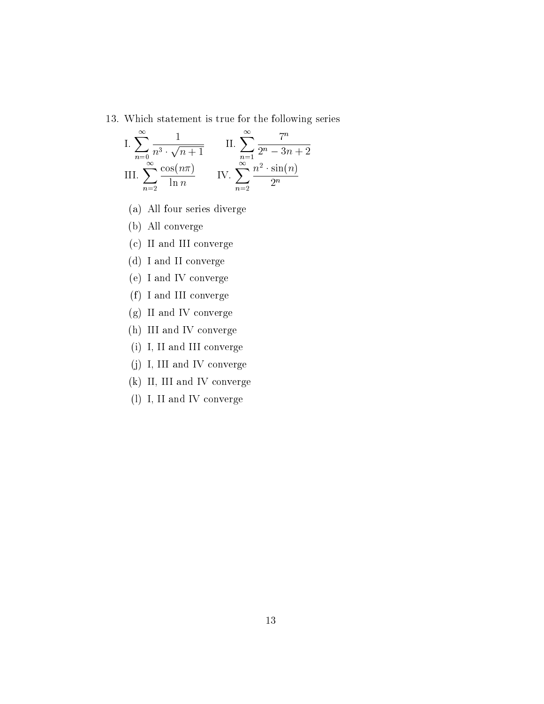#### 13. Which statement is true for the following series

I. 
$$
\sum_{n=0}^{\infty} \frac{1}{n^3 \cdot \sqrt{n+1}}
$$
 II. 
$$
\sum_{n=1}^{\infty} \frac{7^n}{2^n - 3n + 2}
$$
  
III. 
$$
\sum_{n=2}^{\infty} \frac{\cos(n\pi)}{\ln n}
$$
 IV. 
$$
\sum_{n=2}^{\infty} \frac{n^2 \cdot \sin(n)}{2^n}
$$

- (a) All four series diverge
- (b) All converge
- (c) II and III converge
- (d) I and II converge
- (e) I and IV converge
- (f) I and III converge
- (g) II and IV converge
- (h) III and IV converge
- (i) I, II and III converge
- (j) I, III and IV converge
- (k) II, III and IV converge
- (l) I, II and IV converge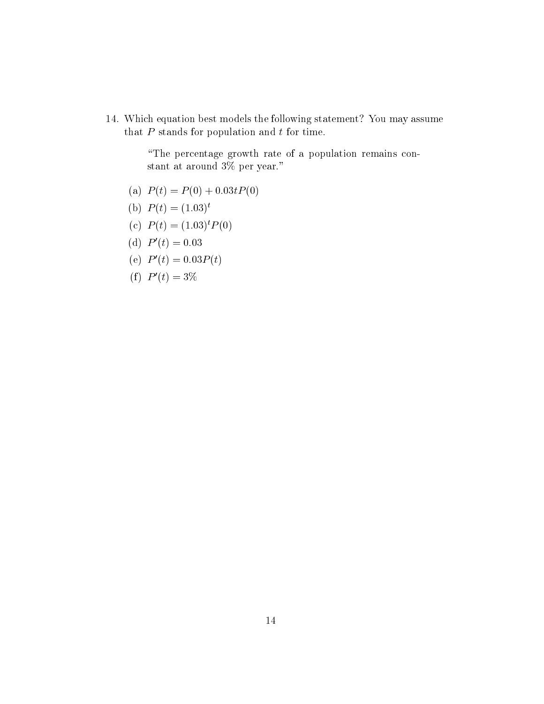14. Which equation best models the following statement? You may assume that  $P$  stands for population and  $t$  for time.

> \The percentage growth rate of a population remains constant at around 3% per year."

- (a)  $P(t) = P(0) + 0.03tP(0)$
- (b)  $P(t) = (1.03)^t$
- (c)  $P(t) = (1.03)^t P(0)$
- (d)  $P'(t) = 0.03$
- (e)  $P'(t) = 0.03P(t)$
- (f)  $P'(t) = 3\%$